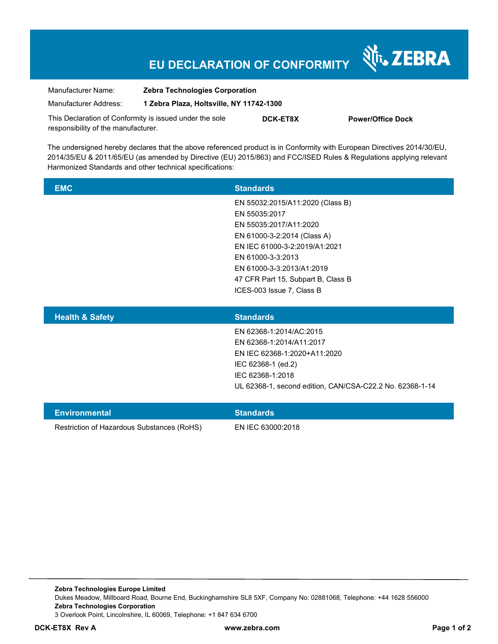## **EU DECLARATION OF CONFORMITY**

Nr. ZEBRA

| Manufacturer Name:                                                                             | <b>Zebra Technologies Corporation</b>    |                 |                          |
|------------------------------------------------------------------------------------------------|------------------------------------------|-----------------|--------------------------|
| Manufacturer Address:                                                                          | 1 Zebra Plaza, Holtsville, NY 11742-1300 |                 |                          |
| This Declaration of Conformity is issued under the sole<br>responsibility of the manufacturer. |                                          | <b>DCK-ET8X</b> | <b>Power/Office Dock</b> |

The undersigned hereby declares that the above referenced product is in Conformity with European Directives 2014/30/EU, 2014/35/EU & 2011/65/EU (as amended by Directive (EU) 2015/863) and FCC/ISED Rules & Regulations applying relevant Harmonized Standards and other technical specifications:

| <b>EMC</b> | <b>Standards</b>                   |
|------------|------------------------------------|
|            | EN 55032:2015/A11:2020 (Class B)   |
|            | EN 55035:2017                      |
|            | EN 55035:2017/A11:2020             |
|            | EN 61000-3-2:2014 (Class A)        |
|            | EN IEC 61000-3-2:2019/A1:2021      |
|            | EN 61000-3-3:2013                  |
|            | EN 61000-3-3:2013/A1:2019          |
|            | 47 CFR Part 15, Subpart B, Class B |
|            | ICES-003 Issue 7, Class B          |
|            |                                    |

| <b>Health &amp; Safety</b> | <b>Standards</b>                                         |
|----------------------------|----------------------------------------------------------|
|                            | EN 62368-1:2014/AC:2015                                  |
|                            | EN 62368-1:2014/A11:2017                                 |
|                            | EN IEC 62368-1:2020+A11:2020                             |
|                            | IEC 62368-1 (ed.2)                                       |
|                            | IEC 62368-1:2018                                         |
|                            | UL 62368-1, second edition, CAN/CSA-C22.2 No. 62368-1-14 |
|                            |                                                          |

| Environmental                              | <b>Standards</b>  |
|--------------------------------------------|-------------------|
| Restriction of Hazardous Substances (RoHS) | EN IEC 63000:2018 |